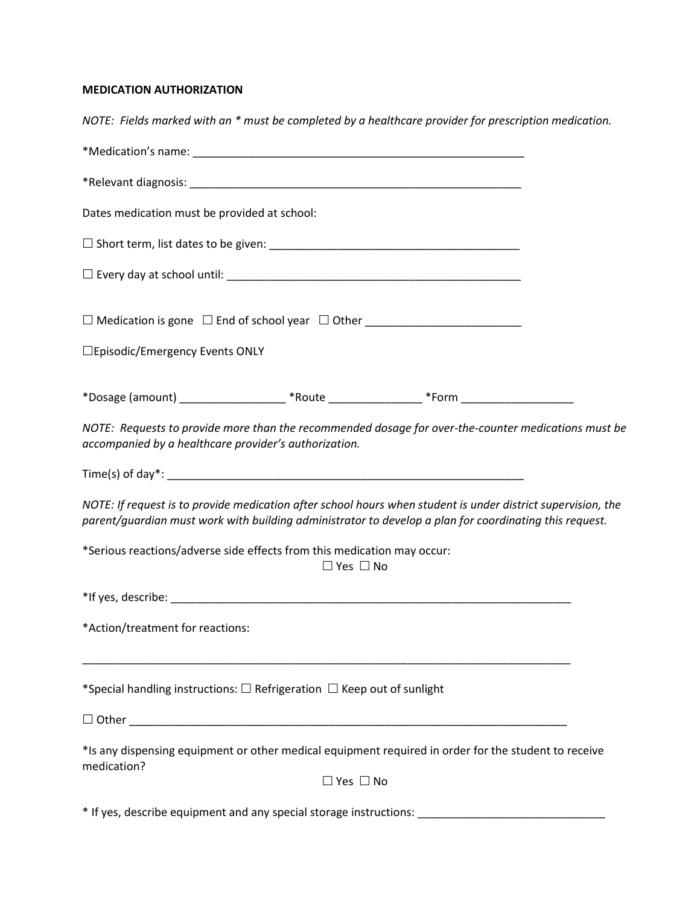# **MEDICATION AUTHORIZATION**

| NOTE: Fields marked with an * must be completed by a healthcare provider for prescription medication.                                                                                                                  |
|------------------------------------------------------------------------------------------------------------------------------------------------------------------------------------------------------------------------|
|                                                                                                                                                                                                                        |
|                                                                                                                                                                                                                        |
| Dates medication must be provided at school:                                                                                                                                                                           |
|                                                                                                                                                                                                                        |
|                                                                                                                                                                                                                        |
|                                                                                                                                                                                                                        |
| □Episodic/Emergency Events ONLY                                                                                                                                                                                        |
| *Dosage (amount) ______________________*Route __________________*Form ______________________________                                                                                                                   |
| NOTE: Requests to provide more than the recommended dosage for over-the-counter medications must be<br>accompanied by a healthcare provider's authorization.                                                           |
|                                                                                                                                                                                                                        |
| NOTE: If request is to provide medication after school hours when student is under district supervision, the<br>parent/guardian must work with building administrator to develop a plan for coordinating this request. |
| *Serious reactions/adverse side effects from this medication may occur:<br>$\Box$ Yes $\Box$ No                                                                                                                        |
|                                                                                                                                                                                                                        |
| *Action/treatment for reactions:                                                                                                                                                                                       |
| *Special handling instructions: $\Box$ Refrigeration $\Box$ Keep out of sunlight                                                                                                                                       |
|                                                                                                                                                                                                                        |
| *Is any dispensing equipment or other medical equipment required in order for the student to receive<br>medication?                                                                                                    |
| $\Box$ Yes $\Box$ No                                                                                                                                                                                                   |
| * If yes, describe equipment and any special storage instructions: _____________                                                                                                                                       |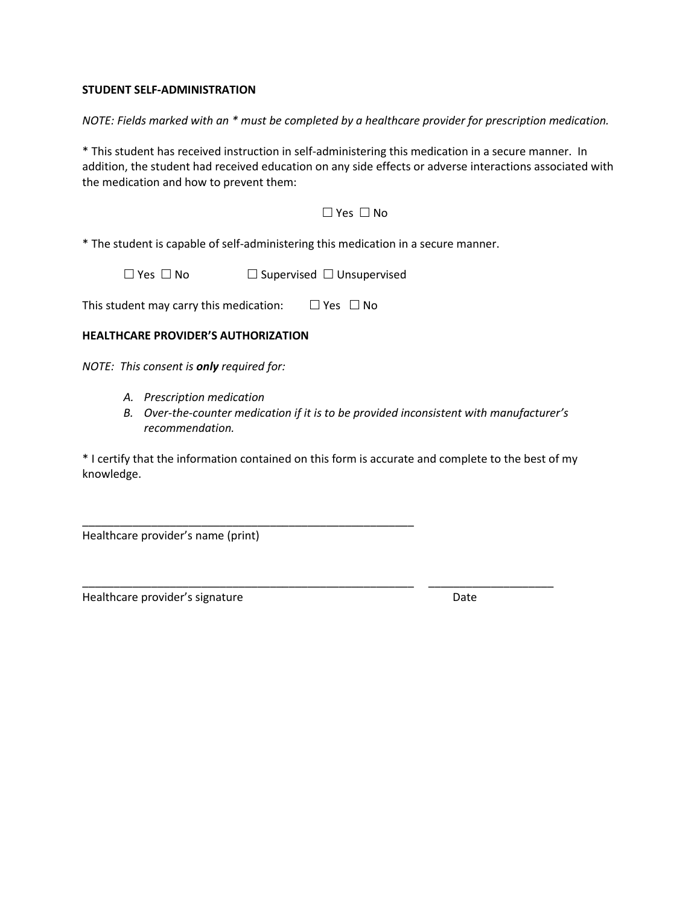### **STUDENT SELF-ADMINISTRATION**

*NOTE: Fields marked with an \* must be completed by a healthcare provider for prescription medication.*

\* This student has received instruction in self-administering this medication in a secure manner. In addition, the student had received education on any side effects or adverse interactions associated with the medication and how to prevent them:

### $\Box$  Yes  $\Box$  No

\* The student is capable of self-administering this medication in a secure manner.

 $\Box$  Yes  $\Box$  No  $\Box$  Supervised  $\Box$  Unsupervised

This student may carry this medication:  $\Box$  Yes  $\Box$  No

\_\_\_\_\_\_\_\_\_\_\_\_\_\_\_\_\_\_\_\_\_\_\_\_\_\_\_\_\_\_\_\_\_\_\_\_\_\_\_\_\_\_\_\_\_\_\_\_\_\_\_\_\_

## **HEALTHCARE PROVIDER'S AUTHORIZATION**

*NOTE: This consent is only required for:*

- *A. Prescription medication*
- *B. Over-the-counter medication if it is to be provided inconsistent with manufacturer's recommendation.*

\* I certify that the information contained on this form is accurate and complete to the best of my knowledge.

\_\_\_\_\_\_\_\_\_\_\_\_\_\_\_\_\_\_\_\_\_\_\_\_\_\_\_\_\_\_\_\_\_\_\_\_\_\_\_\_\_\_\_\_\_\_\_\_\_\_\_\_\_ \_\_\_\_\_\_\_\_\_\_\_\_\_\_\_\_\_\_\_\_

Healthcare provider's name (print)

Healthcare provider's signature departure development of the Date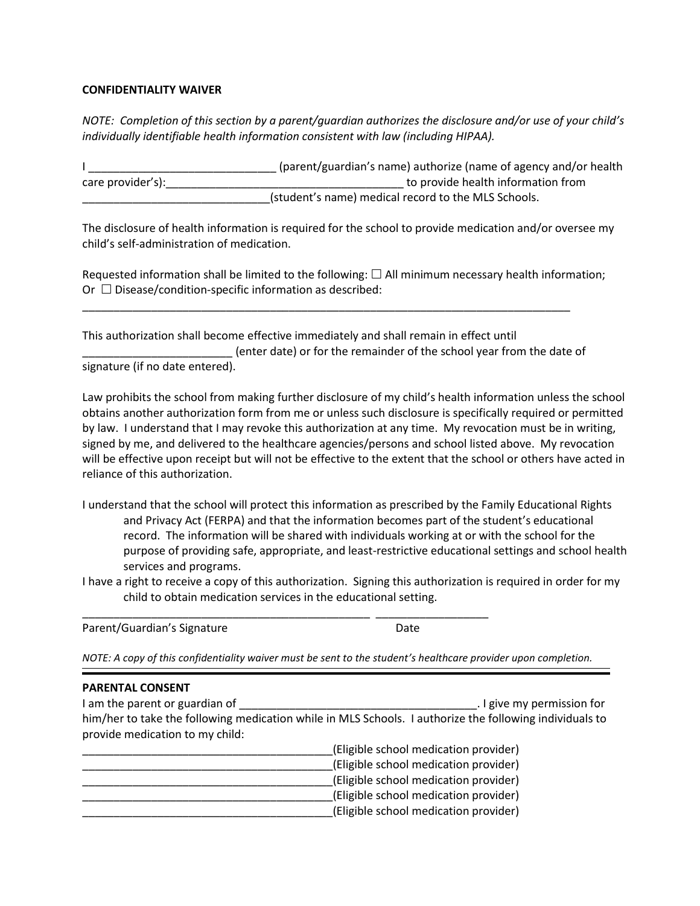### **CONFIDENTIALITY WAIVER**

*NOTE: Completion of this section by a parent/guardian authorizes the disclosure and/or use of your child's individually identifiable health information consistent with law (including HIPAA).*

I \_\_\_\_\_\_\_\_\_\_\_\_\_\_\_\_\_\_\_\_\_\_\_\_\_\_\_\_\_\_ (parent/guardian's name) authorize (name of agency and/or health care provider's): example and the provider of the provide health information from (student's name) medical record to the MLS Schools.

The disclosure of health information is required for the school to provide medication and/or oversee my child's self-administration of medication.

Requested information shall be limited to the following:  $\Box$  All minimum necessary health information; Or  $\Box$  Disease/condition-specific information as described:

This authorization shall become effective immediately and shall remain in effect until \_\_\_\_\_\_\_\_\_\_\_\_\_\_\_\_\_\_\_\_\_\_\_\_ (enter date) or for the remainder of the school year from the date of signature (if no date entered).

\_\_\_\_\_\_\_\_\_\_\_\_\_\_\_\_\_\_\_\_\_\_\_\_\_\_\_\_\_\_\_\_\_\_\_\_\_\_\_\_\_\_\_\_\_\_\_\_\_\_\_\_\_\_\_\_\_\_\_\_\_\_\_\_\_\_\_\_\_\_\_\_\_\_\_\_\_\_

Law prohibits the school from making further disclosure of my child's health information unless the school obtains another authorization form from me or unless such disclosure is specifically required or permitted by law. I understand that I may revoke this authorization at any time. My revocation must be in writing, signed by me, and delivered to the healthcare agencies/persons and school listed above. My revocation will be effective upon receipt but will not be effective to the extent that the school or others have acted in reliance of this authorization.

- I understand that the school will protect this information as prescribed by the Family Educational Rights and Privacy Act (FERPA) and that the information becomes part of the student's educational record. The information will be shared with individuals working at or with the school for the purpose of providing safe, appropriate, and least-restrictive educational settings and school health services and programs.
- I have a right to receive a copy of this authorization. Signing this authorization is required in order for my child to obtain medication services in the educational setting.

Parent/Guardian's Signature Date

*NOTE: A copy of this confidentiality waiver must be sent to the student's healthcare provider upon completion.*

#### **PARENTAL CONSENT**

| I am the parent or guardian of  | I give my permission for                                                                                |
|---------------------------------|---------------------------------------------------------------------------------------------------------|
|                                 | him/her to take the following medication while in MLS Schools. I authorize the following individuals to |
| provide medication to my child: |                                                                                                         |
|                                 | (Eligible school medication provider)                                                                   |

| Tell provider in the contraction is provided. |
|-----------------------------------------------|
| (Eligible school medication provider)         |
| (Eligible school medication provider)         |
| (Eligible school medication provider)         |
| (Eligible school medication provider)         |
|                                               |

\_\_\_\_\_\_\_\_\_\_\_\_\_\_\_\_\_\_\_\_\_\_\_\_\_\_\_\_\_\_\_\_\_\_\_\_\_\_\_\_\_\_\_\_\_\_ \_\_\_\_\_\_\_\_\_\_\_\_\_\_\_\_\_\_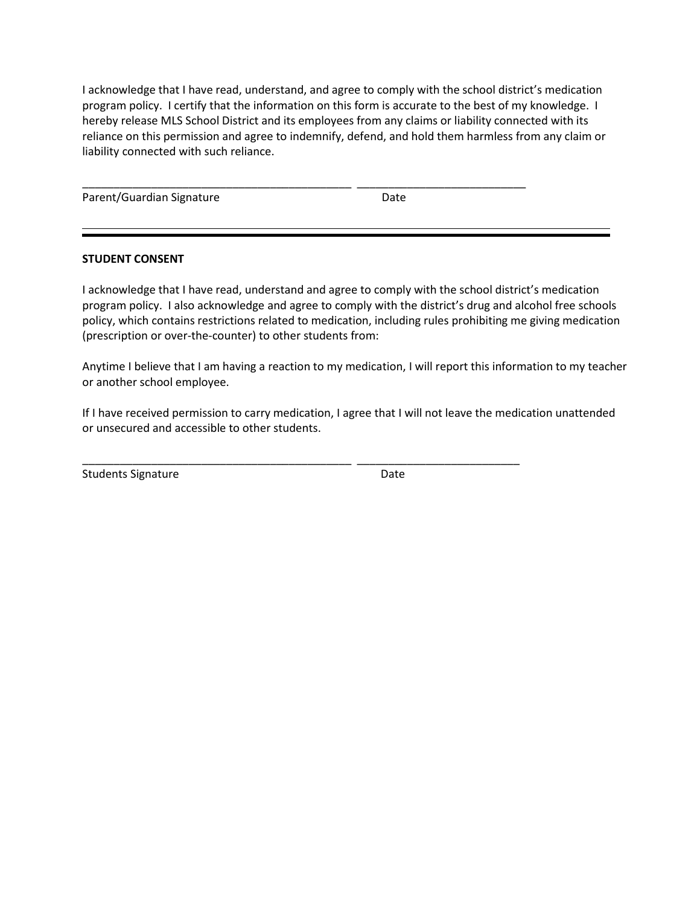I acknowledge that I have read, understand, and agree to comply with the school district's medication program policy. I certify that the information on this form is accurate to the best of my knowledge. I hereby release MLS School District and its employees from any claims or liability connected with its reliance on this permission and agree to indemnify, defend, and hold them harmless from any claim or liability connected with such reliance.

\_\_\_\_\_\_\_\_\_\_\_\_\_\_\_\_\_\_\_\_\_\_\_\_\_\_\_\_\_\_\_\_\_\_\_\_\_\_\_\_\_\_\_ \_\_\_\_\_\_\_\_\_\_\_\_\_\_\_\_\_\_\_\_\_\_\_\_\_\_\_

Parent/Guardian Signature Date

### **STUDENT CONSENT**

I acknowledge that I have read, understand and agree to comply with the school district's medication program policy. I also acknowledge and agree to comply with the district's drug and alcohol free schools policy, which contains restrictions related to medication, including rules prohibiting me giving medication (prescription or over-the-counter) to other students from:

Anytime I believe that I am having a reaction to my medication, I will report this information to my teacher or another school employee.

If I have received permission to carry medication, I agree that I will not leave the medication unattended or unsecured and accessible to other students.

\_\_\_\_\_\_\_\_\_\_\_\_\_\_\_\_\_\_\_\_\_\_\_\_\_\_\_\_\_\_\_\_\_\_\_\_\_\_\_\_\_\_\_ \_\_\_\_\_\_\_\_\_\_\_\_\_\_\_\_\_\_\_\_\_\_\_\_\_\_

Students Signature **Date**